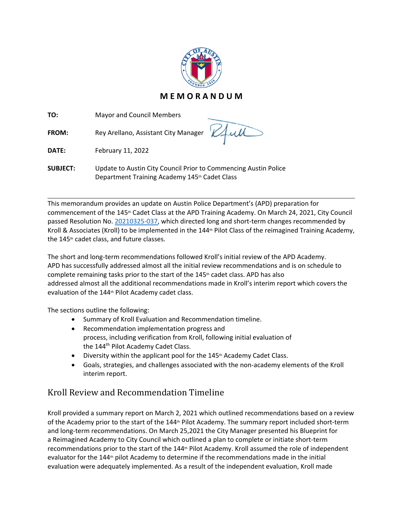

**TO:** Mayor and Council Members

FROM: Rey Arellano, Assistant City Manager

**DATE:** February 11, 2022

L

**SUBJECT:** Update to Austin City Council Prior to Commencing Austin Police Department Training Academy 145th Cadet Class

This memorandum provides an update on Austin Police Department's (APD) preparation for commencement of the 145th Cadet Class at the APD Training Academy. On March 24, 2021, City Council passed Resolution No. [20210325-037,](https://austintexas.gov/edims/document.cfm?id=357869) which directed long and short-term changes recommended by Kroll & Associates (Kroll) to be implemented in the 144<sup>th</sup> Pilot Class of the reimagined Training Academy, the 145th cadet class, and future classes.

The short and long-term recommendations followed Kroll's initial review of the APD Academy. APD has successfully addressed almost all the initial review recommendations and is on schedule to complete remaining tasks prior to the start of the  $145<sup>th</sup>$  cadet class. APD has also addressed almost all the additional recommendations made in Kroll's interim report which covers the evaluation of the 144th Pilot Academy cadet class.

The sections outline the following:

- Summary of Kroll Evaluation and Recommendation timeline.
- Recommendation implementation progress and process, including verification from Kroll, following initial evaluation of the 144<sup>th</sup> Pilot Academy Cadet Class.
- Diversity within the applicant pool for the 145<sup>th</sup> Academy Cadet Class.
- Goals, strategies, and challenges associated with the non-academy elements of the Kroll interim report.

## Kroll Review and Recommendation Timeline

Kroll provided a summary report on March 2, 2021 which outlined recommendations based on a review of the Academy prior to the start of the 144<sup>th</sup> Pilot Academy. The summary report included short-term and long-term recommendations. On March 25,2021 the City Manager presented his Blueprint for a Reimagined Academy to City Council which outlined a plan to complete or initiate short-term recommendations prior to the start of the 144<sup>th</sup> Pilot Academy. Kroll assumed the role of independent evaluator for the 144<sup>th</sup> pilot Academy to determine if the recommendations made in the initial evaluation were adequately implemented. As a result of the independent evaluation, Kroll made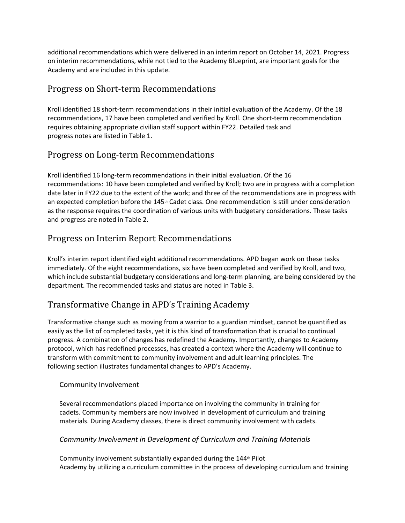additional recommendations which were delivered in an interim report on October 14, 2021. Progress on interim recommendations, while not tied to the Academy Blueprint, are important goals for the Academy and are included in this update.

### Progress on Short-term Recommendations

Kroll identified 18 short-term recommendations in their initial evaluation of the Academy. Of the 18 recommendations, 17 have been completed and verified by Kroll. One short-term recommendation requires obtaining appropriate civilian staff support within FY22. Detailed task and progress notes are listed in Table 1.

## Progress on Long-term Recommendations

Kroll identified 16 long-term recommendations in their initial evaluation. Of the 16 recommendations: 10 have been completed and verified by Kroll; two are in progress with a completion date later in FY22 due to the extent of the work; and three of the recommendations are in progress with an expected completion before the 145<sup>th</sup> Cadet class. One recommendation is still under consideration as the response requires the coordination of various units with budgetary considerations. These tasks and progress are noted in Table 2.

## Progress on Interim Report Recommendations

Kroll's interim report identified eight additional recommendations. APD began work on these tasks immediately. Of the eight recommendations, six have been completed and verified by Kroll, and two, which include substantial budgetary considerations and long-term planning, are being considered by the department. The recommended tasks and status are noted in Table 3.

## Transformative Change in APD's Training Academy

Transformative change such as moving from a warrior to a guardian mindset, cannot be quantified as easily as the list of completed tasks, yet it is this kind of transformation that is crucial to continual progress. A combination of changes has redefined the Academy. Importantly, changes to Academy protocol, which has redefined processes, has created a context where the Academy will continue to transform with commitment to community involvement and adult learning principles. The following section illustrates fundamental changes to APD's Academy.

#### Community Involvement

Several recommendations placed importance on involving the community in training for cadets. Community members are now involved in development of curriculum and training materials. During Academy classes, there is direct community involvement with cadets.

#### *Community Involvement in Development of Curriculum and Training Materials*

Community involvement substantially expanded during the 144th Pilot Academy by utilizing a curriculum committee in the process of developing curriculum and training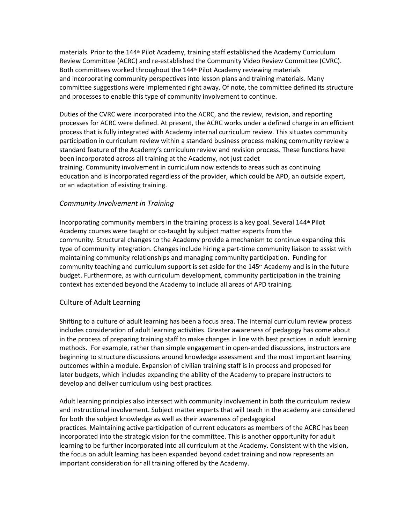materials. Prior to the 144<sup>th</sup> Pilot Academy, training staff established the Academy Curriculum Review Committee (ACRC) and re-established the Community Video Review Committee (CVRC). Both committees worked throughout the 144<sup>th</sup> Pilot Academy reviewing materials and incorporating community perspectives into lesson plans and training materials. Many committee suggestions were implemented right away. Of note, the committee defined its structure and processes to enable this type of community involvement to continue.

Duties of the CVRC were incorporated into the ACRC, and the review, revision, and reporting processes for ACRC were defined. At present, the ACRC works under a defined charge in an efficient process that is fully integrated with Academy internal curriculum review. This situates community participation in curriculum review within a standard business process making community review a standard feature of the Academy's curriculum review and revision process. These functions have been incorporated across all training at the Academy, not just cadet training. Community involvement in curriculum now extends to areas such as continuing education and is incorporated regardless of the provider, which could be APD, an outside expert, or an adaptation of existing training.

#### *Community Involvement in Training*

Incorporating community members in the training process is a key goal. Several 144<sup>th</sup> Pilot Academy courses were taught or co-taught by subject matter experts from the community. Structural changes to the Academy provide a mechanism to continue expanding this type of community integration. Changes include hiring a part-time community liaison to assist with maintaining community relationships and managing community participation. Funding for community teaching and curriculum support is set aside for the  $145<sup>th</sup>$  Academy and is in the future budget. Furthermore, as with curriculum development, community participation in the training context has extended beyond the Academy to include all areas of APD training.

#### Culture of Adult Learning

Shifting to a culture of adult learning has been a focus area. The internal curriculum review process includes consideration of adult learning activities. Greater awareness of pedagogy has come about in the process of preparing training staff to make changes in line with best practices in adult learning methods. For example, rather than simple engagement in open-ended discussions, instructors are beginning to structure discussions around knowledge assessment and the most important learning outcomes within a module. Expansion of civilian training staff is in process and proposed for later budgets, which includes expanding the ability of the Academy to prepare instructors to develop and deliver curriculum using best practices.

Adult learning principles also intersect with community involvement in both the curriculum review and instructional involvement. Subject matter experts that will teach in the academy are considered for both the subject knowledge as well as their awareness of pedagogical practices. Maintaining active participation of current educators as members of the ACRC has been incorporated into the strategic vision for the committee. This is another opportunity for adult learning to be further incorporated into all curriculum at the Academy. Consistent with the vision, the focus on adult learning has been expanded beyond cadet training and now represents an important consideration for all training offered by the Academy.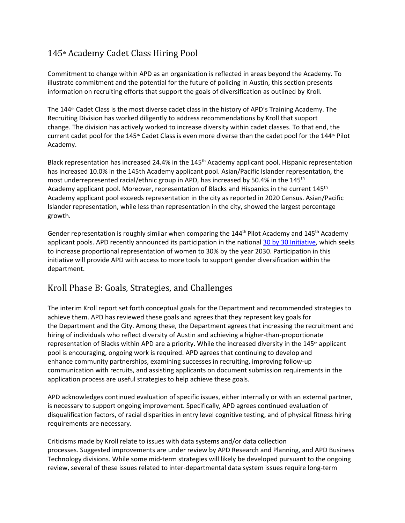# 145<sup>th</sup> Academy Cadet Class Hiring Pool

Commitment to change within APD as an organization is reflected in areas beyond the Academy. To illustrate commitment and the potential for the future of policing in Austin, this section presents information on recruiting efforts that support the goals of diversification as outlined by Kroll.

The 144<sup>th</sup> Cadet Class is the most diverse cadet class in the history of APD's Training Academy. The Recruiting Division has worked diligently to address recommendations by Kroll that support change. The division has actively worked to increase diversity within cadet classes. To that end, the current cadet pool for the 145<sup>th</sup> Cadet Class is even more diverse than the cadet pool for the 144<sup>th</sup> Pilot Academy.

Black representation has increased 24.4% in the 145th Academy applicant pool. Hispanic representation has increased 10.0% in the 145th Academy applicant pool. Asian/Pacific Islander representation, the most underrepresented racial/ethnic group in APD, has increased by 50.4% in the 145<sup>th</sup> Academy applicant pool. Moreover, representation of Blacks and Hispanics in the current 145<sup>th</sup> Academy applicant pool exceeds representation in the city as reported in 2020 Census. Asian/Pacific Islander representation, while less than representation in the city, showed the largest percentage growth.

Gender representation is roughly similar when comparing the  $144<sup>th</sup>$  Pilot Academy and  $145<sup>th</sup>$  Academy applicant pools. APD recently announced its participation in the national 30 by 30 [Initiative,](https://30x30initiative.org/) which seeks to increase proportional representation of women to 30% by the year 2030. Participation in this initiative will provide APD with access to more tools to support gender diversification within the department.

## Kroll Phase B: Goals, Strategies, and Challenges

The interim Kroll report set forth conceptual goals for the Department and recommended strategies to achieve them. APD has reviewed these goals and agrees that they represent key goals for the Department and the City. Among these, the Department agrees that increasing the recruitment and hiring of individuals who reflect diversity of Austin and achieving a higher-than-proportionate representation of Blacks within APD are a priority. While the increased diversity in the 145<sup>th</sup> applicant pool is encouraging, ongoing work is required. APD agrees that continuing to develop and enhance community partnerships, examining successes in recruiting, improving follow-up communication with recruits, and assisting applicants on document submission requirements in the application process are useful strategies to help achieve these goals.

APD acknowledges continued evaluation of specific issues, either internally or with an external partner, is necessary to support ongoing improvement. Specifically, APD agrees continued evaluation of disqualification factors, of racial disparities in entry level cognitive testing, and of physical fitness hiring requirements are necessary.

Criticisms made by Kroll relate to issues with data systems and/or data collection processes. Suggested improvements are under review by APD Research and Planning, and APD Business Technology divisions. While some mid-term strategies will likely be developed pursuant to the ongoing review, several of these issues related to inter-departmental data system issues require long-term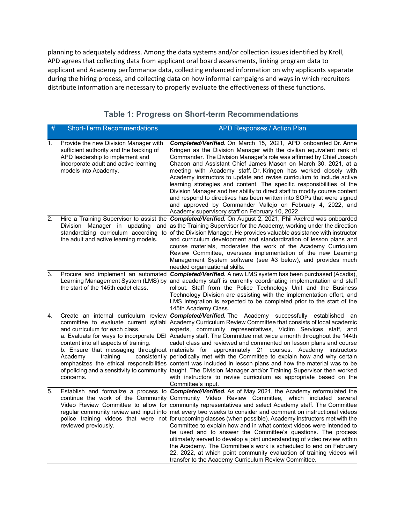planning to adequately address. Among the data systems and/or collection issues identified by Kroll, APD agrees that collecting data from applicant oral board assessments, linking program data to applicant and Academy performance data, collecting enhanced information on why applicants separate during the hiring process, and collecting data on how informal campaigns and ways in which recruiters distribute information are necessary to properly evaluate the effectiveness of these functions.

| #  | <b>Short-Term Recommendations</b>                                                                                                                                                    | <b>APD Responses / Action Plan</b>                                                                                                                                                                                                                                                                                                                                                                                                                                                                                                                                                                                                                                                                                                                                                                                                                                                                                                                                                               |
|----|--------------------------------------------------------------------------------------------------------------------------------------------------------------------------------------|--------------------------------------------------------------------------------------------------------------------------------------------------------------------------------------------------------------------------------------------------------------------------------------------------------------------------------------------------------------------------------------------------------------------------------------------------------------------------------------------------------------------------------------------------------------------------------------------------------------------------------------------------------------------------------------------------------------------------------------------------------------------------------------------------------------------------------------------------------------------------------------------------------------------------------------------------------------------------------------------------|
| 1. | Provide the new Division Manager with<br>sufficient authority and the backing of<br>APD leadership to implement and<br>incorporate adult and active learning<br>models into Academy. | Completed/Verified. On March 15, 2021, APD onboarded Dr. Anne<br>Kringen as the Division Manager with the civilian equivalent rank of<br>Commander. The Division Manager's role was affirmed by Chief Joseph<br>Chacon and Assistant Chief James Mason on March 30, 2021, at a<br>meeting with Academy staff. Dr. Kringen has worked closely with<br>Academy instructors to update and revise curriculum to include active<br>learning strategies and content. The specific responsibilities of the<br>Division Manager and her ability to direct staff to modify course content<br>and respond to directives has been written into SOPs that were signed<br>and approved by Commander Vallejo on February 4, 2022, and<br>Academy supervisory staff on February 10, 2022.                                                                                                                                                                                                                       |
| 2. | the adult and active learning models.                                                                                                                                                | Hire a Training Supervisor to assist the <b>Completed/Verified.</b> On August 2, 2021, Phil Axelrod was onboarded<br>Division Manager in updating and as the Training Supervisor for the Academy, working under the direction<br>standardizing curriculum according to of the Division Manager. He provides valuable assistance with instructor<br>and curriculum development and standardization of lesson plans and<br>course materials, moderates the work of the Academy Curriculum<br>Review Committee, oversees implementation of the new Learning<br>Management System software (see #3 below), and provides much<br>needed organizational skills.                                                                                                                                                                                                                                                                                                                                        |
| 3. | the start of the 145th cadet class.                                                                                                                                                  | Procure and implement an automated Completed/Verified. A new LMS system has been purchased (Acadis),<br>Learning Management System (LMS) by and academy staff is currently coordinating implementation and staff<br>rollout. Staff from the Police Technology Unit and the Business<br>Technology Division are assisting with the implementation effort, and<br>LMS integration is expected to be completed prior to the start of the<br>145th Academy Class.                                                                                                                                                                                                                                                                                                                                                                                                                                                                                                                                    |
| 4. | and curriculum for each class.<br>content into all aspects of training.<br>Academv<br>training<br>concerns.                                                                          | Create an internal curriculum review <b>Completed/Verified</b> . The Academy successfully established<br>an<br>committee to evaluate current syllabi Academy Curriculum Review Committee that consists of local academic<br>experts, community representatives, Victim Services staff, and<br>a. Evaluate for ways to incorporate DEI Academy staff. The Committee met twice a month throughout the 144th<br>cadet class and reviewed and commented on lesson plans and course<br>b. Ensure that messaging throughout materials for approximately 21 courses. Academy instructors<br>consistently periodically met with the Committee to explain how and why certain<br>emphasizes the ethical responsibilities content was included in lesson plans and how the material was to be<br>of policing and a sensitivity to community taught. The Division Manager and/or Training Supervisor then worked<br>with instructors to revise curriculum as appropriate based on the<br>Committee's input. |
| 5. | reviewed previously.                                                                                                                                                                 | Establish and formalize a process to <i>Completed/Verified.</i> As of May 2021, the Academy reformulated the<br>continue the work of the Community Community Video Review Committee, which included several<br>Video Review Committee to allow for community representatives and select Academy staff. The Committee<br>regular community review and input into met every two weeks to consider and comment on instructional videos<br>police training videos that were not for upcoming classes (when possible). Academy instructors met with the<br>Committee to explain how and in what context videos were intended to<br>be used and to answer the Committee's questions. The process<br>ultimately served to develop a joint understanding of video review within<br>the Academy. The Committee's work is scheduled to end on February<br>22, 2022, at which point community evaluation of training videos will<br>transfer to the Academy Curriculum Review Committee.                    |

### **Table 1: Progress on Short-term Recommendations**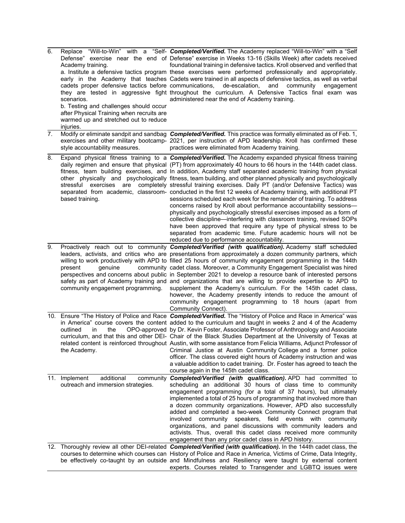| 6. | Academy training.<br>cadets proper defensive tactics before communications, de-escalation,<br>scenarios.<br>b. Testing and challenges should occur<br>after Physical Training when recruits are<br>warmed up and stretched out to reduce<br>injuries. | Replace "Will-to-Win" with a "Self- Completed/Verified. The Academy replaced "Will-to-Win" with a "Self<br>Defense" exercise near the end of Defense" exercise in Weeks 13-16 (Skills Week) after cadets received<br>foundational training in defensive tactics. Kroll observed and verified that<br>a. Institute a defensive tactics program these exercises were performed professionally and appropriately.<br>early in the Academy that teaches Cadets were trained in all aspects of defensive tactics, as well as verbal<br>and<br>community<br>engagement<br>they are tested in aggressive fight throughout the curriculum. A Defensive Tactics final exam was<br>administered near the end of Academy training.                                                                                                                                                                                                                                                                                                                                                                                                                                                                  |
|----|-------------------------------------------------------------------------------------------------------------------------------------------------------------------------------------------------------------------------------------------------------|------------------------------------------------------------------------------------------------------------------------------------------------------------------------------------------------------------------------------------------------------------------------------------------------------------------------------------------------------------------------------------------------------------------------------------------------------------------------------------------------------------------------------------------------------------------------------------------------------------------------------------------------------------------------------------------------------------------------------------------------------------------------------------------------------------------------------------------------------------------------------------------------------------------------------------------------------------------------------------------------------------------------------------------------------------------------------------------------------------------------------------------------------------------------------------------|
| 7. | style accountability measures.                                                                                                                                                                                                                        | Modify or eliminate sandpit and sandbag Completed/Verified. This practice was formally eliminated as of Feb. 1,<br>exercises and other military bootcamp- 2021, per instruction of APD leadership. Kroll has confirmed these<br>practices were eliminated from Academy training.                                                                                                                                                                                                                                                                                                                                                                                                                                                                                                                                                                                                                                                                                                                                                                                                                                                                                                         |
| 8. | based training.                                                                                                                                                                                                                                       | Expand physical fitness training to a <b>Completed/Verified</b> . The Academy expanded physical fitness training<br>daily regimen and ensure that physical (PT) from approximately 40 hours to 66 hours in the 144th cadet class.<br>fitness, team building exercises, and In addition, Academy staff separated academic training from physical<br>other physically and psychologically fitness, team building, and other planned physically and psychologically<br>stressful exercises are completely stressful training exercises. Daily PT (and/or Defensive Tactics) was<br>separated from academic, classroom- conducted in the first 12 weeks of Academy training, with additional PT<br>sessions scheduled each week for the remainder of training. To address<br>concerns raised by Kroll about performance accountability sessions-<br>physically and psychologically stressful exercises imposed as a form of<br>collective discipline—interfering with classroom training, revised SOPs<br>have been approved that require any type of physical stress to be<br>separated from academic time. Future academic hours will not be<br>reduced due to performance accountability. |
| 9. | present<br>qenuine<br>community engagement programming.                                                                                                                                                                                               | Proactively reach out to community <b>Completed/Verified (with qualification)</b> . Academy staff scheduled<br>leaders, activists, and critics who are presentations from approximately a dozen community partners, which<br>willing to work productively with APD to filled 25 hours of community engagement programming in the 144th<br>community cadet class. Moreover, a Community Engagement Specialist was hired<br>perspectives and concerns about public in September 2021 to develop a resource bank of interested persons<br>safety as part of Academy training and and organizations that are willing to provide expertise to APD to<br>supplement the Academy's curriculum. For the 145th cadet class,<br>however, the Academy presently intends to reduce the amount of<br>community engagement programming to 18 hours (apart from<br>Community Connect).                                                                                                                                                                                                                                                                                                                  |
|    | the<br>outlined<br>in<br>the Academy.                                                                                                                                                                                                                 | 10. Ensure "The History of Police and Race Completed/Verified. The "History of Police and Race in America" was<br>in America" course covers the content added to the curriculum and taught in weeks 2 and 4 of the Academy<br>OPO-approved by Dr. Kevin Foster, Associate Professor of Anthropology and Associate<br>curriculum, and that this and other DEI- Chair of the Black Studies Department at the University of Texas at<br>related content is reinforced throughout Austin, with some assistance from Felicia Williams, Adjunct Professor of<br>Criminal Justice at Austin Community College and a former police<br>officer. The class covered eight hours of Academy instruction and was<br>a valuable addition to cadet training. Dr. Foster has agreed to teach the<br>course again in the 145th cadet class.                                                                                                                                                                                                                                                                                                                                                               |
|    | 11. Implement<br>additional<br>outreach and immersion strategies.                                                                                                                                                                                     | community Completed/Verified (with qualification). APD had committed to<br>scheduling an additional 30 hours of class time to community<br>engagement programming (for a total of 37 hours), but ultimately<br>implemented a total of 25 hours of programming that involved more than<br>a dozen community organizations. However, APD also successfully<br>added and completed a two-week Community Connect program that<br>involved community speakers, field events with community<br>organizations, and panel discussions with community leaders and<br>activists. Thus, overall this cadet class received more community<br>engagement than any prior cadet class in APD history.                                                                                                                                                                                                                                                                                                                                                                                                                                                                                                   |
|    |                                                                                                                                                                                                                                                       | 12. Thoroughly review all other DEI-related Completed/Verified (with qualification). In the 144th cadet class, the<br>courses to determine which courses can History of Police and Race in America, Victims of Crime, Data Integrity,<br>be effectively co-taught by an outside and Mindfulness and Resiliency were taught by external content<br>experts. Courses related to Transgender and LGBTQ issues were                                                                                                                                                                                                                                                                                                                                                                                                                                                                                                                                                                                                                                                                                                                                                                          |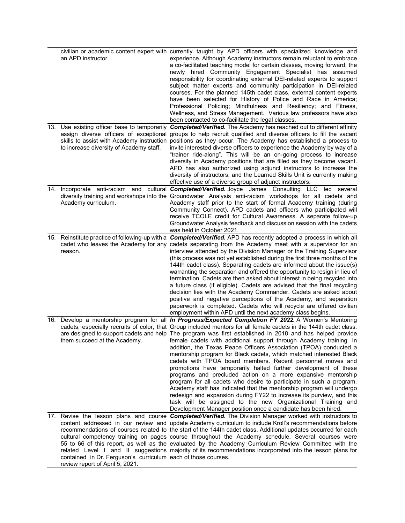| an APD instructor.                                                                               | civilian or academic content expert with currently taught by APD officers with specialized knowledge and<br>experience. Although Academy instructors remain reluctant to embrace<br>a co-facilitated teaching model for certain classes, moving forward, the<br>newly hired Community Engagement Specialist has assumed<br>responsibility for coordinating external DEI-related experts to support<br>subject matter experts and community participation in DEI-related<br>courses. For the planned 145th cadet class, external content experts<br>have been selected for History of Police and Race in America;<br>Professional Policing; Mindfulness and Resiliency; and Fitness,<br>Wellness, and Stress Management. Various law professors have also<br>been contacted to co-facilitate the legal classes.                                                                                                                                                                                                                                                                                                            |
|--------------------------------------------------------------------------------------------------|---------------------------------------------------------------------------------------------------------------------------------------------------------------------------------------------------------------------------------------------------------------------------------------------------------------------------------------------------------------------------------------------------------------------------------------------------------------------------------------------------------------------------------------------------------------------------------------------------------------------------------------------------------------------------------------------------------------------------------------------------------------------------------------------------------------------------------------------------------------------------------------------------------------------------------------------------------------------------------------------------------------------------------------------------------------------------------------------------------------------------|
| 13. Use existing officer base to temporarily<br>to increase diversity of Academy staff.          | <b>Completed/Verified.</b> The Academy has reached out to different affinity<br>assign diverse officers of exceptional groups to help recruit qualified and diverse officers to fill the vacant<br>skills to assist with Academy instruction positions as they occur. The Academy has established a process to<br>invite interested diverse officers to experience the Academy by way of a<br>"trainer ride-along". This will be an on-going process to increase<br>diversity in Academy positions that are filled as they become vacant.<br>APD has also authorized using adjunct instructors to increase the<br>diversity of instructors, and the Learned Skills Unit is currently making<br>effective use of a diverse group of adjunct instructors.                                                                                                                                                                                                                                                                                                                                                                   |
| Academy curriculum.                                                                              | 14. Incorporate anti-racism and cultural <i>Completed/Verified.</i> Joyce James Consulting LLC led several<br>diversity training and workshops into the Groundwater Analysis anti-racism workshops for all cadets and<br>Academy staff prior to the start of formal Academy training (during<br>Community Connect). APD cadets and officers who participated will<br>receive TCOLE credit for Cultural Awareness. A separate follow-up<br>Groundwater Analysis feedback and discussion session with the cadets<br>was held in October 2021.                                                                                                                                                                                                                                                                                                                                                                                                                                                                                                                                                                               |
| reason.                                                                                          | 15. Reinstitute practice of following-up with a <b>Completed/Verified.</b> APD has recently adopted a process in which all<br>cadet who leaves the Academy for any cadets separating from the Academy meet with a supervisor for an<br>interview attended by the Division Manager or the Training Supervisor<br>(this process was not yet established during the first three months of the<br>144th cadet class). Separating cadets are informed about the issue(s)<br>warranting the separation and offered the opportunity to resign in lieu of<br>termination. Cadets are then asked about interest in being recycled into<br>a future class (if eligible). Cadets are advised that the final recycling<br>decision lies with the Academy Commander. Cadets are asked about<br>positive and negative perceptions of the Academy, and separation<br>paperwork is completed. Cadets who will recycle are offered civilian<br>employment within APD until the next academy class begins.                                                                                                                                  |
| them succeed at the Academy.                                                                     | 16. Develop a mentorship program for all <i>In Progress/Expected Completion FY 2022</i> . A Women's Mentoring<br>cadets, especially recruits of color, that Group included mentors for all female cadets in the 144th cadet class.<br>are designed to support cadets and help The program was first established in 2018 and has helped provide<br>female cadets with additional support through Academy training. In<br>addition, the Texas Peace Officers Association (TPOA) conducted a<br>mentorship program for Black cadets, which matched interested Black<br>cadets with TPOA board members. Recent personnel moves and<br>promotions have temporarily halted further development of these<br>programs and precluded action on a more expansive mentorship<br>program for all cadets who desire to participate in such a program.<br>Academy staff has indicated that the mentorship program will undergo<br>redesign and expansion during FY22 to increase its purview, and this<br>task will be assigned to the new Organizational Training and<br>Development Manager position once a candidate has been hired. |
| contained in Dr. Ferguson's curriculum each of those courses.<br>review report of April 5, 2021. | 17. Revise the lesson plans and course <b>Completed/Verified.</b> The Division Manager worked with instructors to<br>content addressed in our review and update Academy curriculum to include Kroll's recommendations before<br>recommendations of courses related to the start of the 144th cadet class. Additional updates occurred for each<br>cultural competency training on pages course throughout the Academy schedule. Several courses were<br>55 to 66 of this report, as well as the evaluated by the Academy Curriculum Review Committee with the<br>related Level I and II suggestions majority of its recommendations incorporated into the lesson plans for                                                                                                                                                                                                                                                                                                                                                                                                                                                |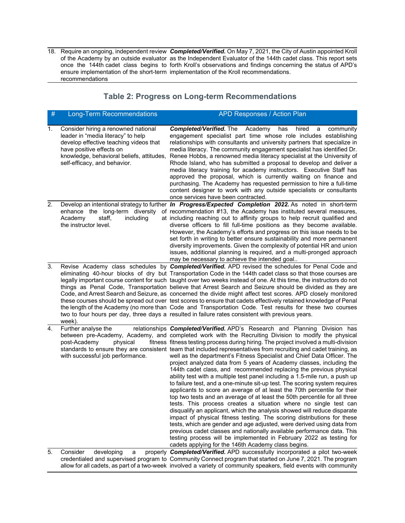18. Require an ongoing, independent review *Completed/Verified.* On May 7, 2021, the City of Austin appointed Kroll of the Academy by an outside evaluator as the Independent Evaluator of the 144th cadet class. This report sets once the 144th cadet class begins to forth Kroll's observations and findings concerning the status of APD's ensure implementation of the short-term implementation of the Kroll recommendations. recommendations  $\overline{\phantom{a}}$ 

### **Table 2: Progress on Long-term Recommendations**

| $\#$ | <b>Long-Term Recommendations</b>                                                                                                                                                | <b>APD Responses / Action Plan</b>                                                                                                                                                                                                                                                                                                                                                                                                                                                                                                                                                                                                                                                                                                                                                                                                                                                                                                                                                                                                                                                                                                                                                                                                                                                                                                                                                                                                                                  |
|------|---------------------------------------------------------------------------------------------------------------------------------------------------------------------------------|---------------------------------------------------------------------------------------------------------------------------------------------------------------------------------------------------------------------------------------------------------------------------------------------------------------------------------------------------------------------------------------------------------------------------------------------------------------------------------------------------------------------------------------------------------------------------------------------------------------------------------------------------------------------------------------------------------------------------------------------------------------------------------------------------------------------------------------------------------------------------------------------------------------------------------------------------------------------------------------------------------------------------------------------------------------------------------------------------------------------------------------------------------------------------------------------------------------------------------------------------------------------------------------------------------------------------------------------------------------------------------------------------------------------------------------------------------------------|
| 1.   | Consider hiring a renowned national<br>leader in "media literacy" to help<br>develop effective teaching videos that<br>have positive effects on<br>self-efficacy, and behavior. | <b>Completed/Verified. The</b><br>Academy<br>hired<br>has<br>a<br>community<br>engagement specialist part time whose role includes establishing<br>relationships with consultants and university partners that specialize in<br>media literacy. The community engagement specialist has identified Dr.<br>knowledge, behavioral beliefs, attitudes, Renee Hobbs, a renowned media literacy specialist at the University of<br>Rhode Island, who has submitted a proposal to develop and deliver a<br>media literacy training for academy instructors. Executive Staff has<br>approved the proposal, which is currently waiting on finance and<br>purchasing. The Academy has requested permission to hire a full-time<br>content designer to work with any outside specialists or consultants<br>once services have been contracted.                                                                                                                                                                                                                                                                                                                                                                                                                                                                                                                                                                                                                                |
| 2.   | enhance the long-term diversity<br>Academy<br>staff,<br>including<br>the instructor level.                                                                                      | Develop an intentional strategy to further In Progress/Expected Completion 2022. As noted in short-term<br>of recommendation #13, the Academy has instituted several measures,<br>at including reaching out to affinity groups to help recruit qualified and<br>diverse officers to fill full-time positions as they become available.<br>However, the Academy's efforts and progress on this issue needs to be<br>set forth in writing to better ensure sustainability and more permanent<br>diversity improvements. Given the complexity of potential HR and union<br>issues, additional planning is required, and a multi-pronged approach<br>may be necessary to achieve the intended goal                                                                                                                                                                                                                                                                                                                                                                                                                                                                                                                                                                                                                                                                                                                                                                      |
| 3.   | week).                                                                                                                                                                          | Revise Academy class schedules by Completed/Verified. APD revised the schedules for Penal Code and<br>eliminating 40-hour blocks of dry but Transportation Code in the 144th cadet class so that those courses are<br>legally important course content for such taught over two weeks instead of one. At this time, the instructors do not<br>things as Penal Code, Transportation believe that Arrest Search and Seizure should be divided as they are<br>Code, and Arrest Search and Seizure, as concerned the divide might affect test scores. APD closely monitored<br>these courses should be spread out over test scores to ensure that cadets effectively retained knowledge of Penal<br>the length of the Academy (no more than Code and Transportation Code. Test results for these two courses<br>two to four hours per day, three days a resulted in failure rates consistent with previous years.                                                                                                                                                                                                                                                                                                                                                                                                                                                                                                                                                       |
| 4.   | Further analyse the<br>physical<br>post-Academy<br>with successful job performance.                                                                                             | relationships <b>Completed/Verified.</b> APD's Research and Planning Division has<br>between pre-Academy, Academy, and completed work with the Recruiting Division to modify the physical<br>fitness fitness testing process during hiring. The project involved a multi-division<br>standards to ensure they are consistent team that included representatives from recruiting and cadet training, as<br>well as the department's Fitness Specialist and Chief Data Officer. The<br>project analyzed data from 5 years of Academy classes, including the<br>144th cadet class, and recommended replacing the previous physical<br>ability test with a multiple test panel including a 1.5-mile run, a push up<br>to failure test, and a one-minute sit-up test. The scoring system requires<br>applicants to score an average of at least the 70th percentile for their<br>top two tests and an average of at least the 50th percentile for all three<br>tests. This process creates a situation where no single test can<br>disqualify an applicant, which the analysis showed will reduce disparate<br>impact of physical fitness testing. The scoring distributions for these<br>tests, which are gender and age adjusted, were derived using data from<br>previous cadet classes and nationally available performance data. This<br>testing process will be implemented in February 2022 as testing for<br>cadets applying for the 146th Academy class begins. |
| 5.   | Consider<br>developing<br>a                                                                                                                                                     | properly Completed/Verified. APD successfully incorporated a pilot two-week<br>credentialed and supervised program to Community Connect program that started on June 7, 2021. The program<br>allow for all cadets, as part of a two-week involved a variety of community speakers, field events with community                                                                                                                                                                                                                                                                                                                                                                                                                                                                                                                                                                                                                                                                                                                                                                                                                                                                                                                                                                                                                                                                                                                                                      |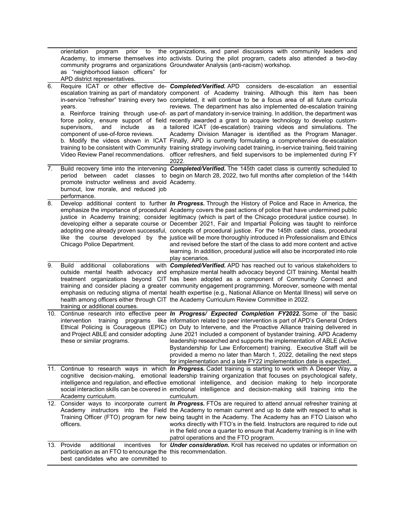|                  | orientation<br>program<br>as "neighborhood liaison officers" for<br>APD district representatives.                                                | prior to the organizations, and panel discussions with community leaders and<br>Academy, to immerse themselves into activists. During the pilot program, cadets also attended a two-day<br>community programs and organizations Groundwater Analysis (anti-racism) workshop.                                                                                                                                                                                                                                                                                                                                                                                                                                                                                                                                                                                                                                                                                                                                                                                                                                                                     |
|------------------|--------------------------------------------------------------------------------------------------------------------------------------------------|--------------------------------------------------------------------------------------------------------------------------------------------------------------------------------------------------------------------------------------------------------------------------------------------------------------------------------------------------------------------------------------------------------------------------------------------------------------------------------------------------------------------------------------------------------------------------------------------------------------------------------------------------------------------------------------------------------------------------------------------------------------------------------------------------------------------------------------------------------------------------------------------------------------------------------------------------------------------------------------------------------------------------------------------------------------------------------------------------------------------------------------------------|
| $\overline{6}$ . | years.<br>include<br>as<br>supervisors,<br>and<br>component of use-of-force reviews.                                                             | Require ICAT or other effective de- <b>Completed/Verified.</b> APD considers de-escalation an<br>essential<br>escalation training as part of mandatory component of Academy training. Although this item has been<br>in-service "refresher" training every two completed, it will continue to be a focus area of all future curricula<br>reviews. The department has also implemented de-escalation training<br>a. Reinforce training through use-of- as part of mandatory in-service training. In addition, the department was<br>force policy, ensure support of field recently awarded a grant to acquire technology to develop custom-<br>a tailored ICAT (de-escalation) training videos and simulations. The<br>Academy Division Manager is identified as the Program Manager.<br>b. Modify the videos shown in ICAT Finally, APD is currently formulating a comprehensive de-escalation<br>training to be consistent with Community training strategy involving cadet training, in-service training, field training<br>Video Review Panel recommendations. officer refreshers, and field supervisors to be implemented during FY<br>2022. |
| 7.               | period between<br>promote instructor wellness and avoid Academy.<br>burnout, low morale, and reduced job<br>performance.                         | Build recovery time into the intervening Completed/Verified. The 145th cadet class is currently scheduled to<br>cadet classes to begin on March 28, 2022, two full months after completion of the 144th                                                                                                                                                                                                                                                                                                                                                                                                                                                                                                                                                                                                                                                                                                                                                                                                                                                                                                                                          |
| 8.               | Chicago Police Department.                                                                                                                       | Develop additional content to further In Progress. Through the History of Police and Race in America, the<br>emphasize the importance of procedural Academy covers the past actions of police that have undermined public<br>justice in Academy training; consider legitimacy (which is part of the Chicago procedural justice course). In<br>developing either a separate course or December 2021, Fair and Impartial Policing was taught to reinforce<br>adopting one already proven successful, concepts of procedural justice. For the 145th cadet class, procedural<br>like the course developed by the justice will be more thoroughly introduced in Professionalism and Ethics<br>and revised before the start of the class to add more content and active<br>learning. In addition, procedural justice will also be incorporated into role<br>play scenarios.                                                                                                                                                                                                                                                                            |
| 9.               | <b>Build</b><br>additional<br>training or additional courses.                                                                                    | collaborations with <b>Completed/Verified.</b> APD has reached out to various stakeholders to<br>outside mental health advocacy and emphasize mental health advocacy beyond CIT training. Mental health<br>treatment organizations beyond CIT has been adopted as a component of Community Connect and<br>training and consider placing a greater community engagement programming. Moreover, someone with mental<br>emphasis on reducing stigma of mental health expertise (e.g., National Alliance on Mental Illness) will serve on<br>health among officers either through CIT the Academy Curriculum Review Committee in 2022.                                                                                                                                                                                                                                                                                                                                                                                                                                                                                                               |
|                  | these or similar programs.                                                                                                                       | 10. Continue research into effective peer In Progress/ Expected Completion FY2022. Some of the basic<br>intervention training programs like information related to peer intervention is part of APD's General Orders<br>Ethical Policing is Courageous (EPIC) on Duty to Intervene, and the Proactive Alliance training delivered in<br>and Project ABLE and consider adopting June 2021 included a component of bystander training. APD Academy<br>leadership researched and supports the implementation of ABLE (Active<br>Bystandership for Law Enforcement) training. Executive Staff will be<br>provided a memo no later than March 1, 2022, detailing the next steps<br>for implementation and a late FY22 implementation date is expected.                                                                                                                                                                                                                                                                                                                                                                                                |
|                  | Academy curriculum.                                                                                                                              | 11. Continue to research ways in which <i>In Progress</i> . Cadet training is starting to work with A Deeper Way, a<br>cognitive decision-making, emotional leadership training organization that focuses on psychological safety,<br>intelligence and regulation, and effective emotional intelligence, and decision making to help incorporate<br>social interaction skills can be covered in emotional intelligence and decision-making skill training into the<br>curriculum.                                                                                                                                                                                                                                                                                                                                                                                                                                                                                                                                                                                                                                                                |
|                  | officers.                                                                                                                                        | 12. Consider ways to incorporate current <i>In Progress</i> . FTOs are required to attend annual refresher training at<br>Academy instructors into the Field the Academy to remain current and up to date with respect to what is<br>Training Officer (FTO) program for new being taught in the Academy. The Academy has an FTO Liaison who<br>works directly with FTO's in the field. Instructors are required to ride out<br>in the field once a quarter to ensure that Academy training is in line with<br>patrol operations and the FTO program.                                                                                                                                                                                                                                                                                                                                                                                                                                                                                                                                                                                             |
|                  | 13. Provide<br>additional<br>incentives<br>participation as an FTO to encourage the this recommendation.<br>best candidates who are committed to | for <b>Under consideration.</b> Kroll has received no updates or information on                                                                                                                                                                                                                                                                                                                                                                                                                                                                                                                                                                                                                                                                                                                                                                                                                                                                                                                                                                                                                                                                  |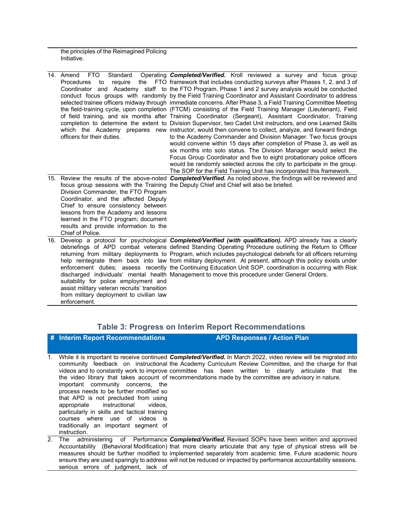the principles of the Reimagined Policing Initiative.

| <b>FTO</b><br>Standard<br>14. Amend<br><b>Procedures</b><br>require<br>to<br>officers for their duties.                                                                                                                                                          | Operating <b>Completed/Verified.</b> Kroll reviewed a survey and focus group<br>the FTO framework that includes conducting surveys after Phases 1, 2, and 3 of<br>Coordinator and Academy staff to the FTO Program. Phase 1 and 2 survey analysis would be conducted<br>conduct focus groups with randomly by the Field Training Coordinator and Assistant Coordinator to address<br>selected trainee officers midway through immediate concerns. After Phase 3, a Field Training Committee Meeting<br>the field-training cycle, upon completion (FTCM) consisting of the Field Training Manager (Lieutenant), Field<br>of field training, and six months after Training Coordinator (Sergeant), Assistant Coordinator, Training<br>completion to determine the extent to Division Supervisor, two Cadet Unit instructors, and one Learned Skills<br>which the Academy prepares new instructor, would then convene to collect, analyze, and forward findings<br>to the Academy Commander and Division Manager. Two focus groups<br>would convene within 15 days after completion of Phase 3, as well as<br>six months into solo status. The Division Manager would select the<br>Focus Group Coordinator and five to eight probationary police officers<br>would be randomly selected across the city to participate in the group.<br>The SOP for the Field Training Unit has incorporated this framework. |
|------------------------------------------------------------------------------------------------------------------------------------------------------------------------------------------------------------------------------------------------------------------|------------------------------------------------------------------------------------------------------------------------------------------------------------------------------------------------------------------------------------------------------------------------------------------------------------------------------------------------------------------------------------------------------------------------------------------------------------------------------------------------------------------------------------------------------------------------------------------------------------------------------------------------------------------------------------------------------------------------------------------------------------------------------------------------------------------------------------------------------------------------------------------------------------------------------------------------------------------------------------------------------------------------------------------------------------------------------------------------------------------------------------------------------------------------------------------------------------------------------------------------------------------------------------------------------------------------------------------------------------------------------------------------------------|
| Division Commander, the FTO Program<br>Coordinator, and the affected Deputy<br>Chief to ensure consistency between<br>lessons from the Academy and lessons<br>learned in the FTO program; document<br>results and provide information to the<br>Chief of Police. | 15. Review the results of the above-noted <b>Completed/Verified.</b> As noted above, the findings will be reviewed and<br>focus group sessions with the Training the Deputy Chief and Chief will also be briefed.                                                                                                                                                                                                                                                                                                                                                                                                                                                                                                                                                                                                                                                                                                                                                                                                                                                                                                                                                                                                                                                                                                                                                                                          |
| suitability for police employment and<br>assist military veteran recruits' transition<br>from military deployment to civilian law<br>enforcement.                                                                                                                | 16. Develop a protocol for psychological <b>Completed/Verified (with qualification).</b> APD already has a clearly<br>debriefings of APD combat veterans defined Standing Operating Procedure outlining the Return to Officer<br>returning from military deployments to Program, which includes psychological debriefs for all officers returning<br>help reintegrate them back into law from military deployment. At present, although this policy exists under<br>enforcement duties; assess recently the Continuing Education Unit SOP, coordination is occurring with Risk<br>discharged individuals' mental health Management to move this procedure under General Orders.                                                                                                                                                                                                                                                                                                                                                                                                                                                                                                                                                                                                                                                                                                                            |

## **Table 3: Progress on Interim Report Recommendations**

|    | # Interim Report Recommendations                                                                                                                                                                                                                                                                        | <b>APD Responses / Action Plan</b>                                                                                                                                                                                                                                                                                                                                                                                                                        |
|----|---------------------------------------------------------------------------------------------------------------------------------------------------------------------------------------------------------------------------------------------------------------------------------------------------------|-----------------------------------------------------------------------------------------------------------------------------------------------------------------------------------------------------------------------------------------------------------------------------------------------------------------------------------------------------------------------------------------------------------------------------------------------------------|
|    |                                                                                                                                                                                                                                                                                                         |                                                                                                                                                                                                                                                                                                                                                                                                                                                           |
| 1. | important community concerns, the<br>process needs to be further modified so<br>that APD is not precluded from using<br>appropriate instructional<br>videos.<br>particularly in skills and tactical training<br>courses where use of videos is<br>traditionally an important segment of<br>instruction. | While it is important to receive continued <b>Completed/Verified.</b> In March 2022, video review will be migrated into<br>community feedback on instructional the Academy Curriculum Review Committee, and the charge for that<br>videos and to constantly work to improve committee has been written to clearly articulate that the<br>the video library that takes account of recommendations made by the committee are advisory in nature.            |
| 2. | serious errors of judgment, lack of                                                                                                                                                                                                                                                                     | The administering of Performance <b>Completed/Verified.</b> Revised SOPs have been written and approved<br>Accountability (Behavioral Modification) that more clearly articulate that any type of physical stress will be<br>measures should be further modified to implemented separately from academic time. Future academic hours<br>ensure they are used sparingly to address will not be reduced or impacted by performance accountability sessions. |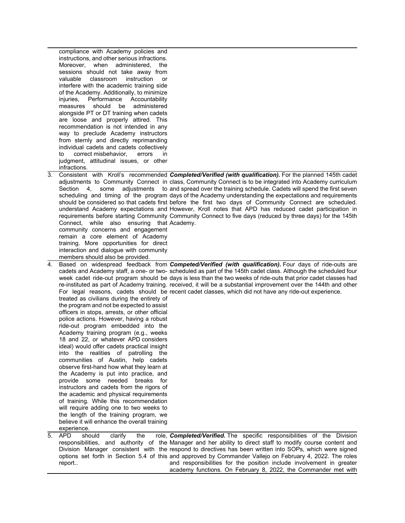|    | compliance with Academy policies and<br>instructions, and other serious infractions.<br>Moreover, when administered,<br>the<br>sessions should not take away from<br>valuable<br>classroom<br>instruction<br>or<br>interfere with the academic training side<br>of the Academy. Additionally, to minimize<br>Accountability<br>injuries,<br>Performance<br>should<br>administered<br>measures<br>be<br>alongside PT or DT training when cadets<br>are loose and properly attired. This<br>recommendation is not intended in any<br>way to preclude Academy instructors<br>from sternly and directly reprimanding<br>individual cadets and cadets collectively<br>correct misbehavior,<br>errors<br>to<br><i>in</i><br>judgment, attitudinal issues, or other<br>infractions.                                                                                    |                                                                                                                                                                                                                                                                                                                                                                                                                                                                                                                                                                                                                                                                                                                                                               |
|----|-----------------------------------------------------------------------------------------------------------------------------------------------------------------------------------------------------------------------------------------------------------------------------------------------------------------------------------------------------------------------------------------------------------------------------------------------------------------------------------------------------------------------------------------------------------------------------------------------------------------------------------------------------------------------------------------------------------------------------------------------------------------------------------------------------------------------------------------------------------------|---------------------------------------------------------------------------------------------------------------------------------------------------------------------------------------------------------------------------------------------------------------------------------------------------------------------------------------------------------------------------------------------------------------------------------------------------------------------------------------------------------------------------------------------------------------------------------------------------------------------------------------------------------------------------------------------------------------------------------------------------------------|
|    | some<br>Section<br>4.<br>Connect, while also ensuring that Academy.<br>community concerns and engagement<br>remain a core element of Academy<br>training. More opportunities for direct<br>interaction and dialogue with community<br>members should also be provided.                                                                                                                                                                                                                                                                                                                                                                                                                                                                                                                                                                                          | Consistent with Kroll's recommended Completed/Verified (with qualification). For the planned 145th cadet<br>adjustments to Community Connect in class, Community Connect is to be integrated into Academy curriculum<br>adjustments to and spread over the training schedule. Cadets will spend the first seven<br>scheduling and timing of the program days of the Academy understanding the expectations and requirements<br>should be considered so that cadets first before the first two days of Community Connect are scheduled.<br>understand Academy expectations and However, Kroll notes that APD has reduced cadet participation in<br>requirements before starting Community Community Connect to five days (reduced by three days) for the 145th |
| 4. | treated as civilians during the entirety of<br>the program and not be expected to assist<br>officers in stops, arrests, or other official<br>police actions. However, having a robust<br>ride-out program embedded into the<br>Academy training program (e.g., weeks<br>18 and 22, or whatever APD considers<br>ideal) would offer cadets practical insight<br>into the realities of patrolling<br>the<br>communities of Austin, help cadets<br>observe first-hand how what they learn at<br>the Academy is put into practice, and<br>provide some<br>needed<br>breaks for<br>instructors and cadets from the rigors of<br>the academic and physical requirements<br>of training. While this recommendation<br>will require adding one to two weeks to<br>the length of the training program, we<br>believe it will enhance the overall training<br>experience. | Based on widespread feedback from Competed/Verified (with qualification). Four days of ride-outs are<br>cadets and Academy staff, a one- or two- scheduled as part of the 145th cadet class. Although the scheduled four<br>week cadet ride-out program should be days is less than the two weeks of ride-outs that prior cadet classes had<br>re-instituted as part of Academy training. received, it will be a substantial improvement over the 144th and other<br>For legal reasons, cadets should be recent cadet classes, which did not have any ride-out experience.                                                                                                                                                                                    |
| 5. | <b>APD</b><br>should<br>clarify<br>the                                                                                                                                                                                                                                                                                                                                                                                                                                                                                                                                                                                                                                                                                                                                                                                                                          | role, <b>Completed/Verified.</b> The specific responsibilities of the Division                                                                                                                                                                                                                                                                                                                                                                                                                                                                                                                                                                                                                                                                                |
|    | report                                                                                                                                                                                                                                                                                                                                                                                                                                                                                                                                                                                                                                                                                                                                                                                                                                                          | responsibilities, and authority of the Manager and her ability to direct staff to modify course content and<br>Division Manager consistent with the respond to directives has been written into SOPs, which were signed<br>options set forth in Section 5.4 of this and approved by Commander Vallejo on February 4, 2022. The roles<br>and responsibilities for the position include involvement in greater<br>academy functions. On February 8, 2022, the Commander met with                                                                                                                                                                                                                                                                                |